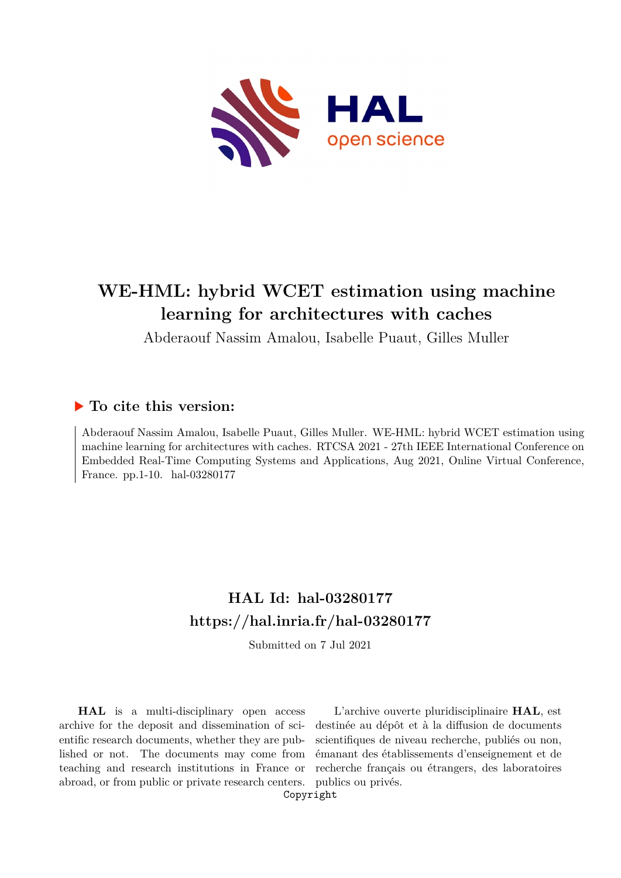

# **WE-HML: hybrid WCET estimation using machine learning for architectures with caches**

Abderaouf Nassim Amalou, Isabelle Puaut, Gilles Muller

# **To cite this version:**

Abderaouf Nassim Amalou, Isabelle Puaut, Gilles Muller. WE-HML: hybrid WCET estimation using machine learning for architectures with caches. RTCSA 2021 - 27th IEEE International Conference on Embedded Real-Time Computing Systems and Applications, Aug 2021, Online Virtual Conference, France. pp.1-10. hal-03280177

# **HAL Id: hal-03280177 <https://hal.inria.fr/hal-03280177>**

Submitted on 7 Jul 2021

**HAL** is a multi-disciplinary open access archive for the deposit and dissemination of scientific research documents, whether they are published or not. The documents may come from teaching and research institutions in France or abroad, or from public or private research centers.

L'archive ouverte pluridisciplinaire **HAL**, est destinée au dépôt et à la diffusion de documents scientifiques de niveau recherche, publiés ou non, émanant des établissements d'enseignement et de recherche français ou étrangers, des laboratoires publics ou privés.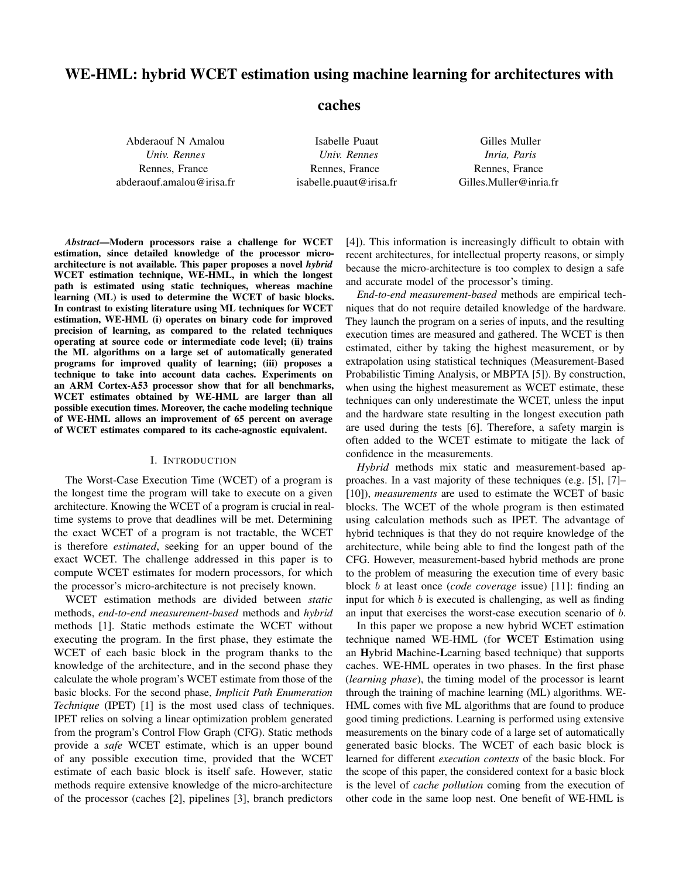# WE-HML: hybrid WCET estimation using machine learning for architectures with

caches

Abderaouf N Amalou *Univ. Rennes* Rennes, France abderaouf.amalou@irisa.fr

Isabelle Puaut *Univ. Rennes* Rennes, France isabelle.puaut@irisa.fr

Gilles Muller *Inria, Paris* Rennes, France Gilles.Muller@inria.fr

*Abstract*—Modern processors raise a challenge for WCET estimation, since detailed knowledge of the processor microarchitecture is not available. This paper proposes a novel *hybrid* WCET estimation technique, WE-HML, in which the longest path is estimated using static techniques, whereas machine learning (ML) is used to determine the WCET of basic blocks. In contrast to existing literature using ML techniques for WCET estimation, WE-HML (i) operates on binary code for improved precision of learning, as compared to the related techniques operating at source code or intermediate code level; (ii) trains the ML algorithms on a large set of automatically generated programs for improved quality of learning; (iii) proposes a technique to take into account data caches. Experiments on an ARM Cortex-A53 processor show that for all benchmarks, WCET estimates obtained by WE-HML are larger than all possible execution times. Moreover, the cache modeling technique of WE-HML allows an improvement of 65 percent on average of WCET estimates compared to its cache-agnostic equivalent.

#### I. INTRODUCTION

The Worst-Case Execution Time (WCET) of a program is the longest time the program will take to execute on a given architecture. Knowing the WCET of a program is crucial in realtime systems to prove that deadlines will be met. Determining the exact WCET of a program is not tractable, the WCET is therefore *estimated*, seeking for an upper bound of the exact WCET. The challenge addressed in this paper is to compute WCET estimates for modern processors, for which the processor's micro-architecture is not precisely known.

WCET estimation methods are divided between *static* methods, *end-to-end measurement-based* methods and *hybrid* methods [1]. Static methods estimate the WCET without executing the program. In the first phase, they estimate the WCET of each basic block in the program thanks to the knowledge of the architecture, and in the second phase they calculate the whole program's WCET estimate from those of the basic blocks. For the second phase, *Implicit Path Enumeration Technique* (IPET) [1] is the most used class of techniques. IPET relies on solving a linear optimization problem generated from the program's Control Flow Graph (CFG). Static methods provide a *safe* WCET estimate, which is an upper bound of any possible execution time, provided that the WCET estimate of each basic block is itself safe. However, static methods require extensive knowledge of the micro-architecture of the processor (caches [2], pipelines [3], branch predictors

[4]). This information is increasingly difficult to obtain with recent architectures, for intellectual property reasons, or simply because the micro-architecture is too complex to design a safe and accurate model of the processor's timing.

*End-to-end measurement-based* methods are empirical techniques that do not require detailed knowledge of the hardware. They launch the program on a series of inputs, and the resulting execution times are measured and gathered. The WCET is then estimated, either by taking the highest measurement, or by extrapolation using statistical techniques (Measurement-Based Probabilistic Timing Analysis, or MBPTA [5]). By construction, when using the highest measurement as WCET estimate, these techniques can only underestimate the WCET, unless the input and the hardware state resulting in the longest execution path are used during the tests [6]. Therefore, a safety margin is often added to the WCET estimate to mitigate the lack of confidence in the measurements.

*Hybrid* methods mix static and measurement-based approaches. In a vast majority of these techniques (e.g. [5], [7]– [10]), *measurements* are used to estimate the WCET of basic blocks. The WCET of the whole program is then estimated using calculation methods such as IPET. The advantage of hybrid techniques is that they do not require knowledge of the architecture, while being able to find the longest path of the CFG. However, measurement-based hybrid methods are prone to the problem of measuring the execution time of every basic block b at least once (*code coverage* issue) [11]: finding an input for which  $b$  is executed is challenging, as well as finding an input that exercises the worst-case execution scenario of b.

In this paper we propose a new hybrid WCET estimation technique named WE-HML (for WCET Estimation using an Hybrid Machine-Learning based technique) that supports caches. WE-HML operates in two phases. In the first phase (*learning phase*), the timing model of the processor is learnt through the training of machine learning (ML) algorithms. WE-HML comes with five ML algorithms that are found to produce good timing predictions. Learning is performed using extensive measurements on the binary code of a large set of automatically generated basic blocks. The WCET of each basic block is learned for different *execution contexts* of the basic block. For the scope of this paper, the considered context for a basic block is the level of *cache pollution* coming from the execution of other code in the same loop nest. One benefit of WE-HML is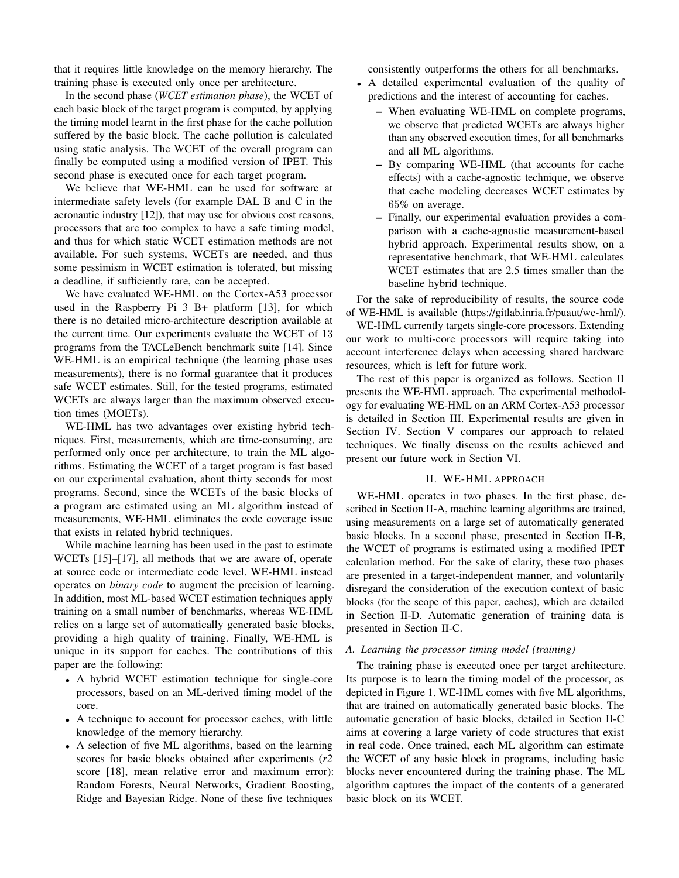that it requires little knowledge on the memory hierarchy. The training phase is executed only once per architecture.

In the second phase (*WCET estimation phase*), the WCET of each basic block of the target program is computed, by applying the timing model learnt in the first phase for the cache pollution suffered by the basic block. The cache pollution is calculated using static analysis. The WCET of the overall program can finally be computed using a modified version of IPET. This second phase is executed once for each target program.

We believe that WE-HML can be used for software at intermediate safety levels (for example DAL B and C in the aeronautic industry [12]), that may use for obvious cost reasons, processors that are too complex to have a safe timing model, and thus for which static WCET estimation methods are not available. For such systems, WCETs are needed, and thus some pessimism in WCET estimation is tolerated, but missing a deadline, if sufficiently rare, can be accepted.

We have evaluated WE-HML on the Cortex-A53 processor used in the Raspberry Pi 3 B+ platform [13], for which there is no detailed micro-architecture description available at the current time. Our experiments evaluate the WCET of 13 programs from the TACLeBench benchmark suite [14]. Since WE-HML is an empirical technique (the learning phase uses measurements), there is no formal guarantee that it produces safe WCET estimates. Still, for the tested programs, estimated WCETs are always larger than the maximum observed execution times (MOETs).

WE-HML has two advantages over existing hybrid techniques. First, measurements, which are time-consuming, are performed only once per architecture, to train the ML algorithms. Estimating the WCET of a target program is fast based on our experimental evaluation, about thirty seconds for most programs. Second, since the WCETs of the basic blocks of a program are estimated using an ML algorithm instead of measurements, WE-HML eliminates the code coverage issue that exists in related hybrid techniques.

While machine learning has been used in the past to estimate WCETs [15]–[17], all methods that we are aware of, operate at source code or intermediate code level. WE-HML instead operates on *binary code* to augment the precision of learning. In addition, most ML-based WCET estimation techniques apply training on a small number of benchmarks, whereas WE-HML relies on a large set of automatically generated basic blocks, providing a high quality of training. Finally, WE-HML is unique in its support for caches. The contributions of this paper are the following:

- A hybrid WCET estimation technique for single-core processors, based on an ML-derived timing model of the core.
- A technique to account for processor caches, with little knowledge of the memory hierarchy.
- A selection of five ML algorithms, based on the learning scores for basic blocks obtained after experiments (*r2* score [18], mean relative error and maximum error): Random Forests, Neural Networks, Gradient Boosting, Ridge and Bayesian Ridge. None of these five techniques

consistently outperforms the others for all benchmarks.

- A detailed experimental evaluation of the quality of predictions and the interest of accounting for caches.
	- When evaluating WE-HML on complete programs, we observe that predicted WCETs are always higher than any observed execution times, for all benchmarks and all ML algorithms.
	- By comparing WE-HML (that accounts for cache effects) with a cache-agnostic technique, we observe that cache modeling decreases WCET estimates by 65% on average.
	- Finally, our experimental evaluation provides a comparison with a cache-agnostic measurement-based hybrid approach. Experimental results show, on a representative benchmark, that WE-HML calculates WCET estimates that are 2.5 times smaller than the baseline hybrid technique.

For the sake of reproducibility of results, the source code of WE-HML is available (https://gitlab.inria.fr/puaut/we-hml/).

WE-HML currently targets single-core processors. Extending our work to multi-core processors will require taking into account interference delays when accessing shared hardware resources, which is left for future work.

The rest of this paper is organized as follows. Section II presents the WE-HML approach. The experimental methodology for evaluating WE-HML on an ARM Cortex-A53 processor is detailed in Section III. Experimental results are given in Section IV. Section V compares our approach to related techniques. We finally discuss on the results achieved and present our future work in Section VI.

#### II. WE-HML APPROACH

WE-HML operates in two phases. In the first phase, described in Section II-A, machine learning algorithms are trained, using measurements on a large set of automatically generated basic blocks. In a second phase, presented in Section II-B, the WCET of programs is estimated using a modified IPET calculation method. For the sake of clarity, these two phases are presented in a target-independent manner, and voluntarily disregard the consideration of the execution context of basic blocks (for the scope of this paper, caches), which are detailed in Section II-D. Automatic generation of training data is presented in Section II-C.

#### *A. Learning the processor timing model (training)*

The training phase is executed once per target architecture. Its purpose is to learn the timing model of the processor, as depicted in Figure 1. WE-HML comes with five ML algorithms, that are trained on automatically generated basic blocks. The automatic generation of basic blocks, detailed in Section II-C aims at covering a large variety of code structures that exist in real code. Once trained, each ML algorithm can estimate the WCET of any basic block in programs, including basic blocks never encountered during the training phase. The ML algorithm captures the impact of the contents of a generated basic block on its WCET.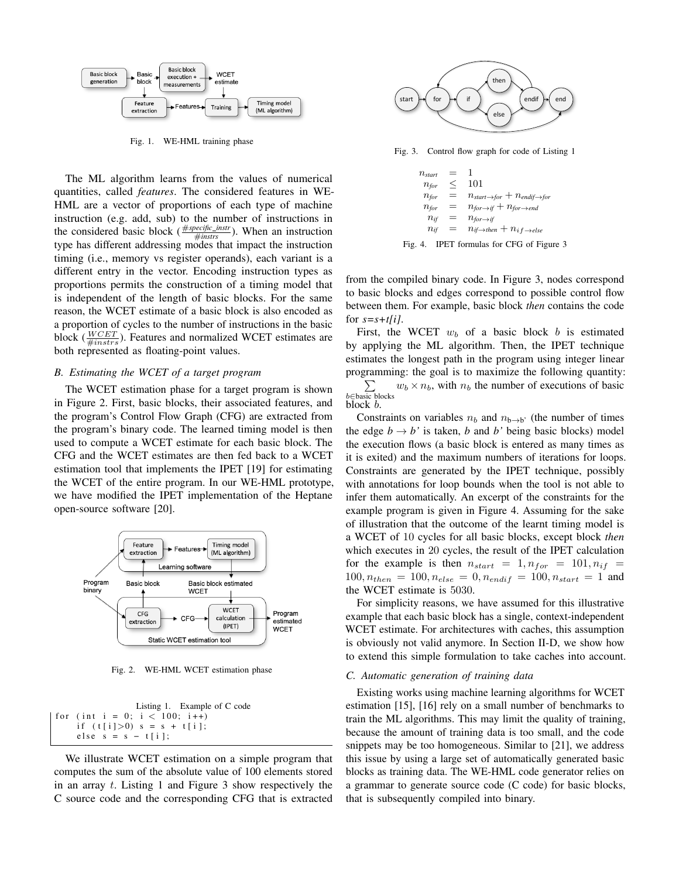

Fig. 1. WE-HML training phase

The ML algorithm learns from the values of numerical quantities, called *features*. The considered features in WE-HML are a vector of proportions of each type of machine instruction (e.g. add, sub) to the number of instructions in the considered basic block ( $\frac{\# specific\_instr}{\#instrs}$ ). When an instruction type has different addressing modes that impact the instruction timing (i.e., memory vs register operands), each variant is a different entry in the vector. Encoding instruction types as proportions permits the construction of a timing model that is independent of the length of basic blocks. For the same reason, the WCET estimate of a basic block is also encoded as a proportion of cycles to the number of instructions in the basic block ( $\frac{WCEPT}{\#instrs}$ ). Features and normalized WCET estimates are both represented as floating-point values.

#### *B. Estimating the WCET of a target program*

The WCET estimation phase for a target program is shown in Figure 2. First, basic blocks, their associated features, and the program's Control Flow Graph (CFG) are extracted from the program's binary code. The learned timing model is then used to compute a WCET estimate for each basic block. The CFG and the WCET estimates are then fed back to a WCET estimation tool that implements the IPET [19] for estimating the WCET of the entire program. In our WE-HML prototype, we have modified the IPET implementation of the Heptane open-source software [20].



Fig. 2. WE-HML WCET estimation phase

| Listing 1. Example of C code    |
|---------------------------------|
| for (int i = 0; i $<$ 100; i++) |
| if $(t[i]>0)$ s = s + t[i];     |
| else $s = s - t[i]$ ;           |

We illustrate WCET estimation on a simple program that computes the sum of the absolute value of 100 elements stored in an array t. Listing 1 and Figure 3 show respectively the C source code and the corresponding CFG that is extracted



Fig. 3. Control flow graph for code of Listing 1

 $n_{start} = 1$  $n_{\text{for}} \leq 101$  $n_{for} = n_{start \rightarrow for} + n_{endif \rightarrow for}$  $n_{for} = n_{for \rightarrow if} + n_{for \rightarrow end}$  $n_{if} = n_{for \rightarrow if}$  $n_{if}$  =  $n_{if \rightarrow then} + n_{if \rightarrow else}$ 

Fig. 4. IPET formulas for CFG of Figure 3

from the compiled binary code. In Figure 3, nodes correspond to basic blocks and edges correspond to possible control flow between them. For example, basic block *then* contains the code for  $s = s + t/i$ .

First, the WCET  $w_b$  of a basic block b is estimated by applying the ML algorithm. Then, the IPET technique estimates the longest path in the program using integer linear programming: the goal is to maximize the following quantity:

 $\sum$ b∈basic blocks  $w_b \times n_b$ , with  $n_b$  the number of executions of basic block b.

Constraints on variables  $n_b$  and  $n_{b\rightarrow b'}$  (the number of times the edge  $b \rightarrow b'$  is taken, *b* and *b'* being basic blocks) model the execution flows (a basic block is entered as many times as it is exited) and the maximum numbers of iterations for loops. Constraints are generated by the IPET technique, possibly with annotations for loop bounds when the tool is not able to infer them automatically. An excerpt of the constraints for the example program is given in Figure 4. Assuming for the sake of illustration that the outcome of the learnt timing model is a WCET of 10 cycles for all basic blocks, except block *then* which executes in 20 cycles, the result of the IPET calculation for the example is then  $n_{start} = 1, n_{for} = 101, n_{if} =$  $100, n_{then} = 100, n_{else} = 0, n_{endif} = 100, n_{start} = 1$  and the WCET estimate is 5030.

For simplicity reasons, we have assumed for this illustrative example that each basic block has a single, context-independent WCET estimate. For architectures with caches, this assumption is obviously not valid anymore. In Section II-D, we show how to extend this simple formulation to take caches into account.

#### *C. Automatic generation of training data*

Existing works using machine learning algorithms for WCET estimation [15], [16] rely on a small number of benchmarks to train the ML algorithms. This may limit the quality of training, because the amount of training data is too small, and the code snippets may be too homogeneous. Similar to [21], we address this issue by using a large set of automatically generated basic blocks as training data. The WE-HML code generator relies on a grammar to generate source code (C code) for basic blocks, that is subsequently compiled into binary.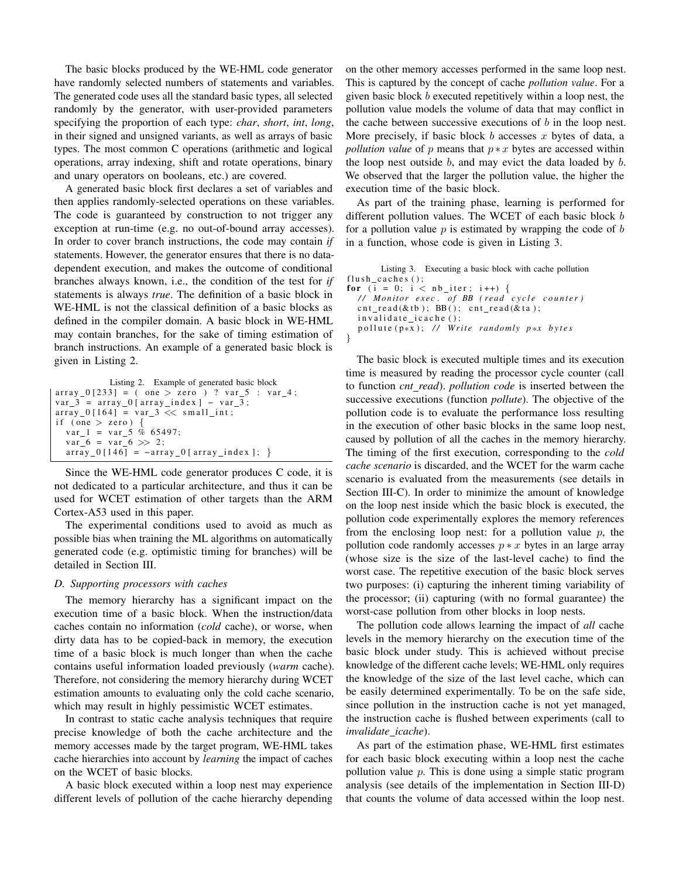The basic blocks produced by the WE-HML code generator have randomly selected numbers of statements and variables. The generated code uses all the standard basic types, all selected randomly by the generator, with user-provided parameters specifying the proportion of each type: *char*, *short*, *int*, *long*, in their signed and unsigned variants, as well as arrays of basic types. The most common C operations (arithmetic and logical operations, array indexing, shift and rotate operations, binary and unary operators on booleans, etc.) are covered.

A generated basic block first declares a set of variables and then applies randomly-selected operations on these variables. The code is guaranteed by construction to not trigger any exception at run-time (e.g. no out-of-bound array accesses). In order to cover branch instructions, the code may contain *if* statements. However, the generator ensures that there is no datadependent execution, and makes the outcome of conditional branches always known, i.e., the condition of the test for *if* statements is always *true*. The definition of a basic block in WE-HML is not the classical definition of a basic blocks as defined in the compiler domain. A basic block in WE-HML may contain branches, for the sake of timing estimation of branch instructions. An example of a generated basic block is given in Listing 2.

```
Listing 2. Example of generated basic block
array_0 [233] = (one > zero )? var_5 : var_4;var_3 = array_0 [array\_index] - var_3;array_0[164] = var_3 < < small_int;if (one > zero) {
  var_1 = var_5 \% 65497;var 6 = var 6 >> 2;
  array_0[146] = -array_0[array_0; x = -1146]
```
Since the WE-HML code generator produces C code, it is not dedicated to a particular architecture, and thus it can be used for WCET estimation of other targets than the ARM Cortex-A53 used in this paper.

The experimental conditions used to avoid as much as possible bias when training the ML algorithms on automatically generated code (e.g. optimistic timing for branches) will be detailed in Section III.

#### *D. Supporting processors with caches*

The memory hierarchy has a significant impact on the execution time of a basic block. When the instruction/data caches contain no information (*cold* cache), or worse, when dirty data has to be copied-back in memory, the execution time of a basic block is much longer than when the cache contains useful information loaded previously (*warm* cache). Therefore, not considering the memory hierarchy during WCET estimation amounts to evaluating only the cold cache scenario, which may result in highly pessimistic WCET estimates.

In contrast to static cache analysis techniques that require precise knowledge of both the cache architecture and the memory accesses made by the target program, WE-HML takes cache hierarchies into account by *learning* the impact of caches on the WCET of basic blocks.

A basic block executed within a loop nest may experience different levels of pollution of the cache hierarchy depending on the other memory accesses performed in the same loop nest. This is captured by the concept of cache *pollution value*. For a given basic block b executed repetitively within a loop nest, the pollution value models the volume of data that may conflict in the cache between successive executions of  $b$  in the loop nest. More precisely, if basic block  $b$  accesses  $x$  bytes of data, a *pollution value* of p means that  $p * x$  bytes are accessed within the loop nest outside  $b$ , and may evict the data loaded by  $b$ . We observed that the larger the pollution value, the higher the execution time of the basic block.

As part of the training phase, learning is performed for different pollution values. The WCET of each basic block b for a pollution value  $p$  is estimated by wrapping the code of  $b$ in a function, whose code is given in Listing 3.

Listing 3. Executing a basic block with cache pollution flush caches  $()$ ; for (i = 0; i <  $nb$ \_iter; i++) { */ / M o nit o r e x e c . o f BB ( r e a d c y c l e c o u n t e r )*  $\text{cnt\_read}(\& \text{tb}); \text{ BB}(); \text{cnt\_read}(\& \text{ta});$  $inv$  alidate\_icache(); pollute (p\*x); // Write randomly p\*x bytes }

The basic block is executed multiple times and its execution time is measured by reading the processor cycle counter (call to function *cnt read*). *pollution code* is inserted between the successive executions (function *pollute*). The objective of the pollution code is to evaluate the performance loss resulting in the execution of other basic blocks in the same loop nest, caused by pollution of all the caches in the memory hierarchy. The timing of the first execution, corresponding to the *cold cache scenario* is discarded, and the WCET for the warm cache scenario is evaluated from the measurements (see details in Section III-C). In order to minimize the amount of knowledge on the loop nest inside which the basic block is executed, the pollution code experimentally explores the memory references from the enclosing loop nest: for a pollution value  $p$ , the pollution code randomly accesses  $p * x$  bytes in an large array (whose size is the size of the last-level cache) to find the worst case. The repetitive execution of the basic block serves two purposes: (i) capturing the inherent timing variability of the processor; (ii) capturing (with no formal guarantee) the worst-case pollution from other blocks in loop nests.

The pollution code allows learning the impact of *all* cache levels in the memory hierarchy on the execution time of the basic block under study. This is achieved without precise knowledge of the different cache levels; WE-HML only requires the knowledge of the size of the last level cache, which can be easily determined experimentally. To be on the safe side, since pollution in the instruction cache is not yet managed, the instruction cache is flushed between experiments (call to *invalidate icache*).

As part of the estimation phase, WE-HML first estimates for each basic block executing within a loop nest the cache pollution value  $p$ . This is done using a simple static program analysis (see details of the implementation in Section III-D) that counts the volume of data accessed within the loop nest.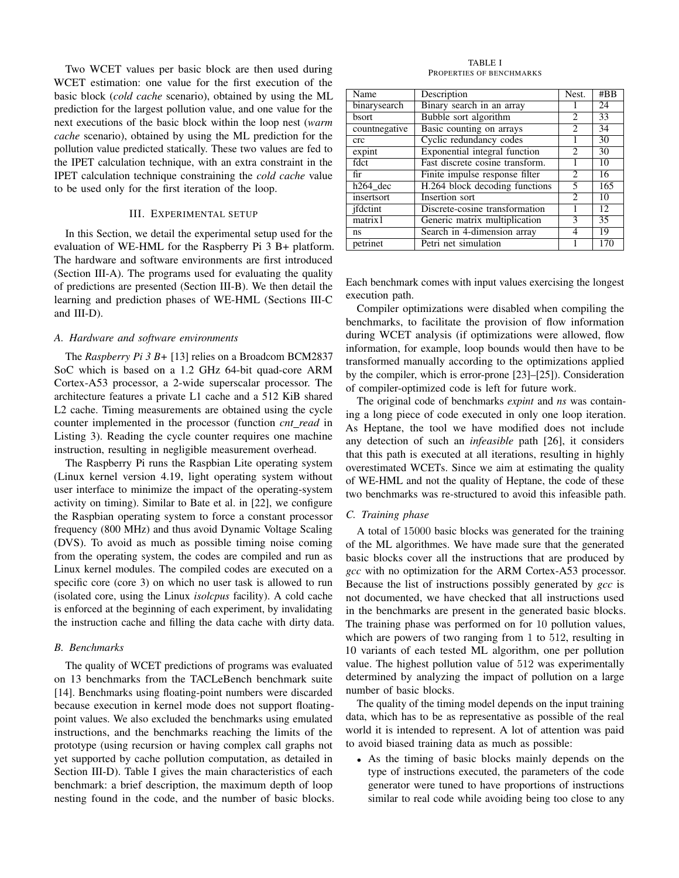Two WCET values per basic block are then used during WCET estimation: one value for the first execution of the basic block (*cold cache* scenario), obtained by using the ML prediction for the largest pollution value, and one value for the next executions of the basic block within the loop nest (*warm cache* scenario), obtained by using the ML prediction for the pollution value predicted statically. These two values are fed to the IPET calculation technique, with an extra constraint in the IPET calculation technique constraining the *cold cache* value to be used only for the first iteration of the loop.

#### III. EXPERIMENTAL SETUP

In this Section, we detail the experimental setup used for the evaluation of WE-HML for the Raspberry Pi 3 B+ platform. The hardware and software environments are first introduced (Section III-A). The programs used for evaluating the quality of predictions are presented (Section III-B). We then detail the learning and prediction phases of WE-HML (Sections III-C and III-D).

#### *A. Hardware and software environments*

The *Raspberry Pi 3 B+* [13] relies on a Broadcom BCM2837 SoC which is based on a 1.2 GHz 64-bit quad-core ARM Cortex-A53 processor, a 2-wide superscalar processor. The architecture features a private L1 cache and a 512 KiB shared L2 cache. Timing measurements are obtained using the cycle counter implemented in the processor (function *cnt read* in Listing 3). Reading the cycle counter requires one machine instruction, resulting in negligible measurement overhead.

The Raspberry Pi runs the Raspbian Lite operating system (Linux kernel version 4.19, light operating system without user interface to minimize the impact of the operating-system activity on timing). Similar to Bate et al. in [22], we configure the Raspbian operating system to force a constant processor frequency (800 MHz) and thus avoid Dynamic Voltage Scaling (DVS). To avoid as much as possible timing noise coming from the operating system, the codes are compiled and run as Linux kernel modules. The compiled codes are executed on a specific core (core 3) on which no user task is allowed to run (isolated core, using the Linux *isolcpus* facility). A cold cache is enforced at the beginning of each experiment, by invalidating the instruction cache and filling the data cache with dirty data.

#### *B. Benchmarks*

The quality of WCET predictions of programs was evaluated on 13 benchmarks from the TACLeBench benchmark suite [14]. Benchmarks using floating-point numbers were discarded because execution in kernel mode does not support floatingpoint values. We also excluded the benchmarks using emulated instructions, and the benchmarks reaching the limits of the prototype (using recursion or having complex call graphs not yet supported by cache pollution computation, as detailed in Section III-D). Table I gives the main characteristics of each benchmark: a brief description, the maximum depth of loop nesting found in the code, and the number of basic blocks.

TABLE I PROPERTIES OF BENCHMARKS

| Name               | Description                          | Nest.          | #BB             |
|--------------------|--------------------------------------|----------------|-----------------|
| binarysearch       | Binary search in an array            |                | 24              |
| bsort              | Bubble sort algorithm                | $\overline{c}$ | 33              |
| countnegative      | Basic counting on arrays             | $\mathfrak{D}$ | 34              |
| crc                | Cyclic redundancy codes              |                | 30              |
| expin <sub>t</sub> | <b>Exponential integral function</b> | $\mathfrak{D}$ | 30              |
| fdct               | Fast discrete cosine transform.      |                | 10              |
| fir                | Finite impulse response filter       | 2              | 16              |
| $h264$ dec         | H.264 block decoding functions       | 5              | 165             |
| insertsort         | Insertion sort                       | $\mathfrak{D}$ | 10              |
| ifdctint           | Discrete-cosine transformation       |                | 12              |
| matrix1            | Generic matrix multiplication        | 3              | $\overline{35}$ |
| ns                 | Search in 4-dimension array          | 4              | 19              |
| petrinet           | Petri net simulation                 |                | 170             |

Each benchmark comes with input values exercising the longest execution path.

Compiler optimizations were disabled when compiling the benchmarks, to facilitate the provision of flow information during WCET analysis (if optimizations were allowed, flow information, for example, loop bounds would then have to be transformed manually according to the optimizations applied by the compiler, which is error-prone [23]–[25]). Consideration of compiler-optimized code is left for future work.

The original code of benchmarks *expint* and *ns* was containing a long piece of code executed in only one loop iteration. As Heptane, the tool we have modified does not include any detection of such an *infeasible* path [26], it considers that this path is executed at all iterations, resulting in highly overestimated WCETs. Since we aim at estimating the quality of WE-HML and not the quality of Heptane, the code of these two benchmarks was re-structured to avoid this infeasible path.

#### *C. Training phase*

A total of 15000 basic blocks was generated for the training of the ML algorithmes. We have made sure that the generated basic blocks cover all the instructions that are produced by *gcc* with no optimization for the ARM Cortex-A53 processor. Because the list of instructions possibly generated by *gcc* is not documented, we have checked that all instructions used in the benchmarks are present in the generated basic blocks. The training phase was performed on for 10 pollution values, which are powers of two ranging from 1 to 512, resulting in 10 variants of each tested ML algorithm, one per pollution value. The highest pollution value of 512 was experimentally determined by analyzing the impact of pollution on a large number of basic blocks.

The quality of the timing model depends on the input training data, which has to be as representative as possible of the real world it is intended to represent. A lot of attention was paid to avoid biased training data as much as possible:

• As the timing of basic blocks mainly depends on the type of instructions executed, the parameters of the code generator were tuned to have proportions of instructions similar to real code while avoiding being too close to any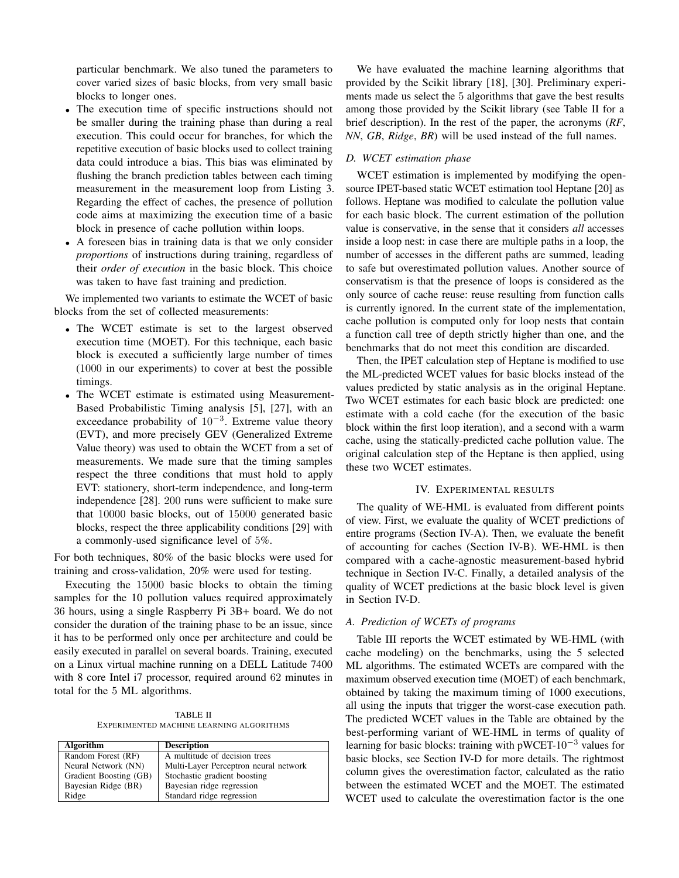particular benchmark. We also tuned the parameters to cover varied sizes of basic blocks, from very small basic blocks to longer ones.

- The execution time of specific instructions should not be smaller during the training phase than during a real execution. This could occur for branches, for which the repetitive execution of basic blocks used to collect training data could introduce a bias. This bias was eliminated by flushing the branch prediction tables between each timing measurement in the measurement loop from Listing 3. Regarding the effect of caches, the presence of pollution code aims at maximizing the execution time of a basic block in presence of cache pollution within loops.
- A foreseen bias in training data is that we only consider *proportions* of instructions during training, regardless of their *order of execution* in the basic block. This choice was taken to have fast training and prediction.

We implemented two variants to estimate the WCET of basic blocks from the set of collected measurements:

- The WCET estimate is set to the largest observed execution time (MOET). For this technique, each basic block is executed a sufficiently large number of times (1000 in our experiments) to cover at best the possible timings.
- The WCET estimate is estimated using Measurement-Based Probabilistic Timing analysis [5], [27], with an exceedance probability of  $10^{-3}$ . Extreme value theory (EVT), and more precisely GEV (Generalized Extreme Value theory) was used to obtain the WCET from a set of measurements. We made sure that the timing samples respect the three conditions that must hold to apply EVT: stationery, short-term independence, and long-term independence [28]. 200 runs were sufficient to make sure that 10000 basic blocks, out of 15000 generated basic blocks, respect the three applicability conditions [29] with a commonly-used significance level of 5%.

For both techniques, 80% of the basic blocks were used for training and cross-validation, 20% were used for testing.

Executing the 15000 basic blocks to obtain the timing samples for the 10 pollution values required approximately 36 hours, using a single Raspberry Pi 3B+ board. We do not consider the duration of the training phase to be an issue, since it has to be performed only once per architecture and could be easily executed in parallel on several boards. Training, executed on a Linux virtual machine running on a DELL Latitude 7400 with 8 core Intel i7 processor, required around 62 minutes in total for the 5 ML algorithms.

TABLE II EXPERIMENTED MACHINE LEARNING ALGORITHMS

| <b>Algorithm</b>       | <b>Description</b>                    |  |  |
|------------------------|---------------------------------------|--|--|
| Random Forest (RF)     | A multitude of decision trees         |  |  |
| Neural Network (NN)    | Multi-Layer Perceptron neural network |  |  |
| Gradient Boosting (GB) | Stochastic gradient boosting          |  |  |
| Bayesian Ridge (BR)    | Bayesian ridge regression             |  |  |
| Ridge                  | Standard ridge regression             |  |  |

We have evaluated the machine learning algorithms that provided by the Scikit library [18], [30]. Preliminary experiments made us select the 5 algorithms that gave the best results among those provided by the Scikit library (see Table II for a brief description). In the rest of the paper, the acronyms (*RF*, *NN*, *GB*, *Ridge*, *BR*) will be used instead of the full names.

### *D. WCET estimation phase*

WCET estimation is implemented by modifying the opensource IPET-based static WCET estimation tool Heptane [20] as follows. Heptane was modified to calculate the pollution value for each basic block. The current estimation of the pollution value is conservative, in the sense that it considers *all* accesses inside a loop nest: in case there are multiple paths in a loop, the number of accesses in the different paths are summed, leading to safe but overestimated pollution values. Another source of conservatism is that the presence of loops is considered as the only source of cache reuse: reuse resulting from function calls is currently ignored. In the current state of the implementation, cache pollution is computed only for loop nests that contain a function call tree of depth strictly higher than one, and the benchmarks that do not meet this condition are discarded.

Then, the IPET calculation step of Heptane is modified to use the ML-predicted WCET values for basic blocks instead of the values predicted by static analysis as in the original Heptane. Two WCET estimates for each basic block are predicted: one estimate with a cold cache (for the execution of the basic block within the first loop iteration), and a second with a warm cache, using the statically-predicted cache pollution value. The original calculation step of the Heptane is then applied, using these two WCET estimates.

#### IV. EXPERIMENTAL RESULTS

The quality of WE-HML is evaluated from different points of view. First, we evaluate the quality of WCET predictions of entire programs (Section IV-A). Then, we evaluate the benefit of accounting for caches (Section IV-B). WE-HML is then compared with a cache-agnostic measurement-based hybrid technique in Section IV-C. Finally, a detailed analysis of the quality of WCET predictions at the basic block level is given in Section IV-D.

### *A. Prediction of WCETs of programs*

Table III reports the WCET estimated by WE-HML (with cache modeling) on the benchmarks, using the 5 selected ML algorithms. The estimated WCETs are compared with the maximum observed execution time (MOET) of each benchmark, obtained by taking the maximum timing of 1000 executions, all using the inputs that trigger the worst-case execution path. The predicted WCET values in the Table are obtained by the best-performing variant of WE-HML in terms of quality of learning for basic blocks: training with pWCET- $10^{-3}$  values for basic blocks, see Section IV-D for more details. The rightmost column gives the overestimation factor, calculated as the ratio between the estimated WCET and the MOET. The estimated WCET used to calculate the overestimation factor is the one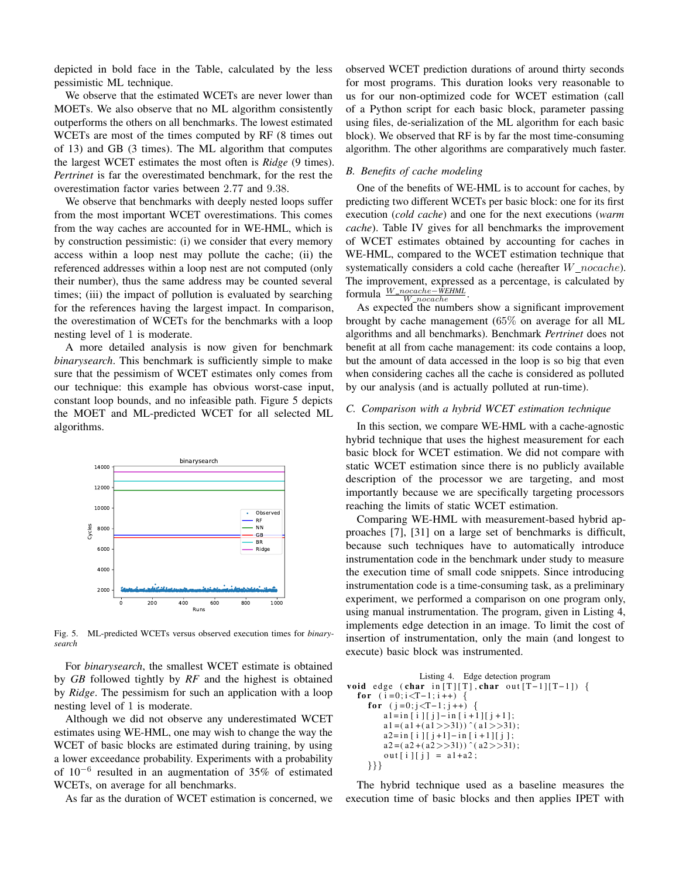depicted in bold face in the Table, calculated by the less pessimistic ML technique.

We observe that the estimated WCETs are never lower than MOETs. We also observe that no ML algorithm consistently outperforms the others on all benchmarks. The lowest estimated WCETs are most of the times computed by RF (8 times out of 13) and GB (3 times). The ML algorithm that computes the largest WCET estimates the most often is *Ridge* (9 times). *Pertrinet* is far the overestimated benchmark, for the rest the overestimation factor varies between 2.77 and 9.38.

We observe that benchmarks with deeply nested loops suffer from the most important WCET overestimations. This comes from the way caches are accounted for in WE-HML, which is by construction pessimistic: (i) we consider that every memory access within a loop nest may pollute the cache; (ii) the referenced addresses within a loop nest are not computed (only their number), thus the same address may be counted several times; (iii) the impact of pollution is evaluated by searching for the references having the largest impact. In comparison, the overestimation of WCETs for the benchmarks with a loop nesting level of 1 is moderate.

A more detailed analysis is now given for benchmark *binarysearch*. This benchmark is sufficiently simple to make sure that the pessimism of WCET estimates only comes from our technique: this example has obvious worst-case input, constant loop bounds, and no infeasible path. Figure 5 depicts the MOET and ML-predicted WCET for all selected ML algorithms.



Fig. 5. ML-predicted WCETs versus observed execution times for *binarysearch*

For *binarysearch*, the smallest WCET estimate is obtained by *GB* followed tightly by *RF* and the highest is obtained by *Ridge*. The pessimism for such an application with a loop nesting level of 1 is moderate.

Although we did not observe any underestimated WCET estimates using WE-HML, one may wish to change the way the WCET of basic blocks are estimated during training, by using a lower exceedance probability. Experiments with a probability of 10<sup>−</sup><sup>6</sup> resulted in an augmentation of 35% of estimated WCETs, on average for all benchmarks.

As far as the duration of WCET estimation is concerned, we

observed WCET prediction durations of around thirty seconds for most programs. This duration looks very reasonable to us for our non-optimized code for WCET estimation (call of a Python script for each basic block, parameter passing using files, de-serialization of the ML algorithm for each basic block). We observed that RF is by far the most time-consuming algorithm. The other algorithms are comparatively much faster.

## *B. Benefits of cache modeling*

One of the benefits of WE-HML is to account for caches, by predicting two different WCETs per basic block: one for its first execution (*cold cache*) and one for the next executions (*warm cache*). Table IV gives for all benchmarks the improvement of WCET estimates obtained by accounting for caches in WE-HML, compared to the WCET estimation technique that systematically considers a cold cache (hereafter  $W\_nocache$ ). The improvement, expressed as a percentage, is calculated by formula <u><sup>W\_nocache</sub>−WEHML</u>.</u></sup>

As expected the numbers show a significant improvement brought by cache management (65% on average for all ML algorithms and all benchmarks). Benchmark *Pertrinet* does not benefit at all from cache management: its code contains a loop, but the amount of data accessed in the loop is so big that even when considering caches all the cache is considered as polluted by our analysis (and is actually polluted at run-time).

#### *C. Comparison with a hybrid WCET estimation technique*

In this section, we compare WE-HML with a cache-agnostic hybrid technique that uses the highest measurement for each basic block for WCET estimation. We did not compare with static WCET estimation since there is no publicly available description of the processor we are targeting, and most importantly because we are specifically targeting processors reaching the limits of static WCET estimation.

Comparing WE-HML with measurement-based hybrid approaches [7], [31] on a large set of benchmarks is difficult, because such techniques have to automatically introduce instrumentation code in the benchmark under study to measure the execution time of small code snippets. Since introducing instrumentation code is a time-consuming task, as a preliminary experiment, we performed a comparison on one program only, using manual instrumentation. The program, given in Listing 4, implements edge detection in an image. To limit the cost of insertion of instrumentation, only the main (and longest to execute) basic block was instrumented.

```
Listing 4. Edge detection program
void edge (char in [T][T], char out [T-1][T-1]) {
  for (i=0; i < T-1; i++) {
    for (j=0; j < T-1; j++)a1 = in[i][j] - in[i+1][j+1];a1 = (a1 + (a1) > 31) \hat{ } (a1 > > 31);
        a2 = in[i][j+1] - in[i+1][j];a2 = (a2 + (a2) > 31)) \hat{c} (a2 > 31);
         out[i][j] = a1+a2;}}}
```
The hybrid technique used as a baseline measures the execution time of basic blocks and then applies IPET with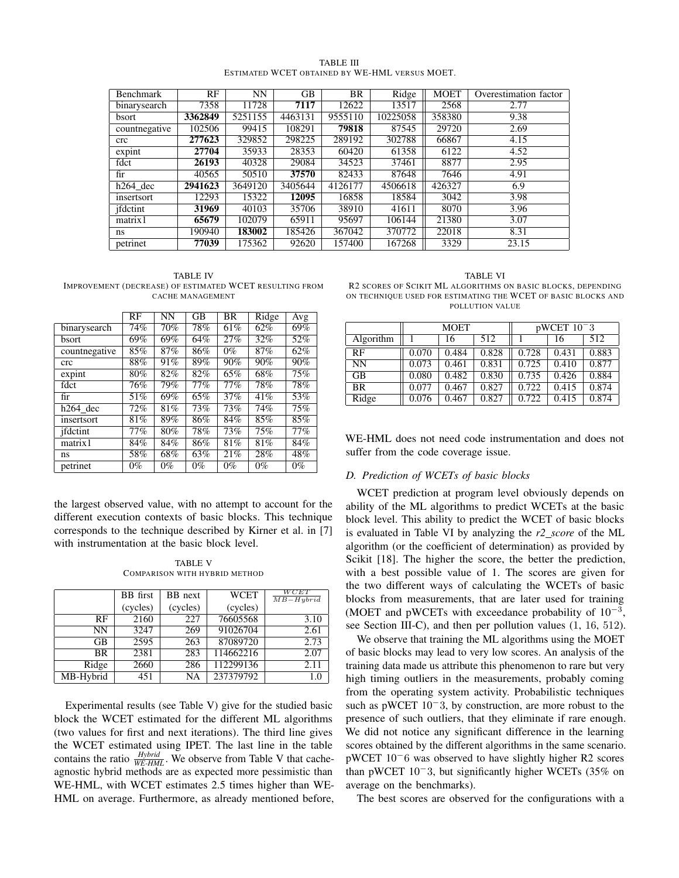| TABLE III                                      |  |
|------------------------------------------------|--|
| ESTIMATED WCET OBTAINED BY WE-HML VERSUS MOET. |  |

| <b>Benchmark</b> | RF      | <b>NN</b> | GВ      | <b>BR</b> | $\overline{Ridge}$ | <b>MOET</b> | Overestimation factor |
|------------------|---------|-----------|---------|-----------|--------------------|-------------|-----------------------|
| binarysearch     | 7358    | 11728     | 7117    | 12622     | 13517              | 2568        | 2.77                  |
| bsort            | 3362849 | 5251155   | 4463131 | 9555110   | 10225058           | 358380      | 9.38                  |
| countnegative    | 102506  | 99415     | 108291  | 79818     | 87545              | 29720       | 2.69                  |
| crc              | 277623  | 329852    | 298225  | 289192    | 302788             | 66867       | 4.15                  |
| expint           | 27704   | 35933     | 28353   | 60420     | 61358              | 6122        | 4.52                  |
| fdct             | 26193   | 40328     | 29084   | 34523     | 37461              | 8877        | 2.95                  |
| fir              | 40565   | 50510     | 37570   | 82433     | 87648              | 7646        | 4.91                  |
| $h264$ dec       | 2941623 | 3649120   | 3405644 | 4126177   | 4506618            | 426327      | 6.9                   |
| insertsort       | 12293   | 15322     | 12095   | 16858     | 18584              | 3042        | 3.98                  |
| jfdctint         | 31969   | 40103     | 35706   | 38910     | 41611              | 8070        | 3.96                  |
| matrix1          | 65679   | 102079    | 65911   | 95697     | 106144             | 21380       | 3.07                  |
| ns               | 190940  | 183002    | 185426  | 367042    | 370772             | 22018       | 8.31                  |
| petrinet         | 77039   | 175362    | 92620   | 157400    | 167268             | 3329        | 23.15                 |

TABLE IV IMPROVEMENT (DECREASE) OF ESTIMATED WCET RESULTING FROM CACHE MANAGEMENT

|                     | $\overline{\text{RF}}$ | $\overline{\text{NN}}$ | $\overline{GB}$   | $\overline{\text{BR}}$ | Ridge | Avg   |
|---------------------|------------------------|------------------------|-------------------|------------------------|-------|-------|
| binarysearch        | 74%                    | 70%                    | 78%               | 61%                    | 62%   | 69%   |
| <b>bsort</b>        | 69%                    | 69%                    | 64%               | 27%                    | 32%   | 52%   |
| countnegative       | 85%                    | 87%                    | 86%               | $0\%$                  | 87%   | 62%   |
| crc                 | 88%                    | 91%                    | 89%               | 90%                    | 90%   | 90%   |
| $\overline{expint}$ | 80%                    | 82%                    | 82%               | 65%                    | 68%   | 75%   |
| fdct                | 76%                    | 79%                    | 77%               | 77%                    | 78%   | 78%   |
| fir                 | 51%                    | 69%                    | 65%               | 37%                    | 41%   | 53%   |
| $h264$ dec          | $\overline{7}2\%$      | 81%                    | $\overline{73}\%$ | 73%                    | 74%   | 75%   |
| insertsort          | 81%                    | 89%                    | 86%               | 84%                    | 85%   | 85%   |
| ifdctint            | 77%                    | 80%                    | 78%               | 73%                    | 75%   | 77%   |
| matrix1             | 84%                    | 84%                    | 86%               | 81%                    | 81%   | 84%   |
| ns                  | 58%                    | 68%                    | 63%               | 21%                    | 28%   | 48%   |
| petrinet            | $0\%$                  | $0\%$                  | $0\%$             | $0\%$                  | $0\%$ | $0\%$ |

the largest observed value, with no attempt to account for the different execution contexts of basic blocks. This technique corresponds to the technique described by Kirner et al. in [7] with instrumentation at the basic block level.

TABLE V COMPARISON WITH HYBRID METHOD

|           | <b>BB</b> first | BB next  | <b>WCET</b> | WCET<br>$MB-Hubrid$ |
|-----------|-----------------|----------|-------------|---------------------|
|           | (cycles)        | (cycles) | (cycles)    |                     |
| RF.       | 2160            | 227      | 76605568    | 3.10                |
| NN        | 3247            | 269      | 91026704    | 2.61                |
| GВ        | 2595            | 263      | 87089720    | 2.73                |
| BR.       | 2381            | 283      | 114662216   | 2.07                |
| Ridge     | 2660            | 286      | 112299136   | 2.11                |
| MB-Hybrid | 451             | NA       | 237379792   | 1.0                 |

Experimental results (see Table V) give for the studied basic block the WCET estimated for the different ML algorithms (two values for first and next iterations). The third line gives the WCET estimated using IPET. The last line in the table contains the ratio  $\frac{Hybrid}{WE-HML}$ . We observe from Table V that cacheagnostic hybrid methods are as expected more pessimistic than WE-HML, with WCET estimates 2.5 times higher than WE-HML on average. Furthermore, as already mentioned before,

TABLE VI R2 SCORES OF SCIKIT ML ALGORITHMS ON BASIC BLOCKS, DEPENDING ON TECHNIQUE USED FOR ESTIMATING THE WCET OF BASIC BLOCKS AND POLLUTION VALUE

|           | <b>MOET</b> |       |       | $pWCET$ 10 <sup>-3</sup> |       |       |
|-----------|-------------|-------|-------|--------------------------|-------|-------|
| Algorithm |             | 16    | 512   |                          | 16    | 512   |
| RF        | 0.070       | 0.484 | 0.828 | 0.728                    | 0.431 | 0.883 |
| <b>NN</b> | 0.073       | 0.461 | 0.831 | 0.725                    | 0.410 | 0.877 |
| <b>GB</b> | 0.080       | 0.482 | 0.830 | 0.735                    | 0.426 | 0.884 |
| <b>BR</b> | 0.077       | 0.467 | 0.827 | 0.722                    | 0.415 | 0.874 |
| Ridge     | 0.076       | 0.467 | 0.827 | 0.722                    | 0.415 | 0.874 |

WE-HML does not need code instrumentation and does not suffer from the code coverage issue.

#### *D. Prediction of WCETs of basic blocks*

WCET prediction at program level obviously depends on ability of the ML algorithms to predict WCETs at the basic block level. This ability to predict the WCET of basic blocks is evaluated in Table VI by analyzing the *r2 score* of the ML algorithm (or the coefficient of determination) as provided by Scikit [18]. The higher the score, the better the prediction, with a best possible value of 1. The scores are given for the two different ways of calculating the WCETs of basic blocks from measurements, that are later used for training (MOET and pWCETs with exceedance probability of  $10^{-3}$ , see Section III-C), and then per pollution values (1, 16, 512).

We observe that training the ML algorithms using the MOET of basic blocks may lead to very low scores. An analysis of the training data made us attribute this phenomenon to rare but very high timing outliers in the measurements, probably coming from the operating system activity. Probabilistic techniques such as pWCET 10<sup>−</sup>3, by construction, are more robust to the presence of such outliers, that they eliminate if rare enough. We did not notice any significant difference in the learning scores obtained by the different algorithms in the same scenario. pWCET 10<sup>−</sup>6 was observed to have slightly higher R2 scores than pWCET 10<sup>−</sup>3, but significantly higher WCETs (35% on average on the benchmarks).

The best scores are observed for the configurations with a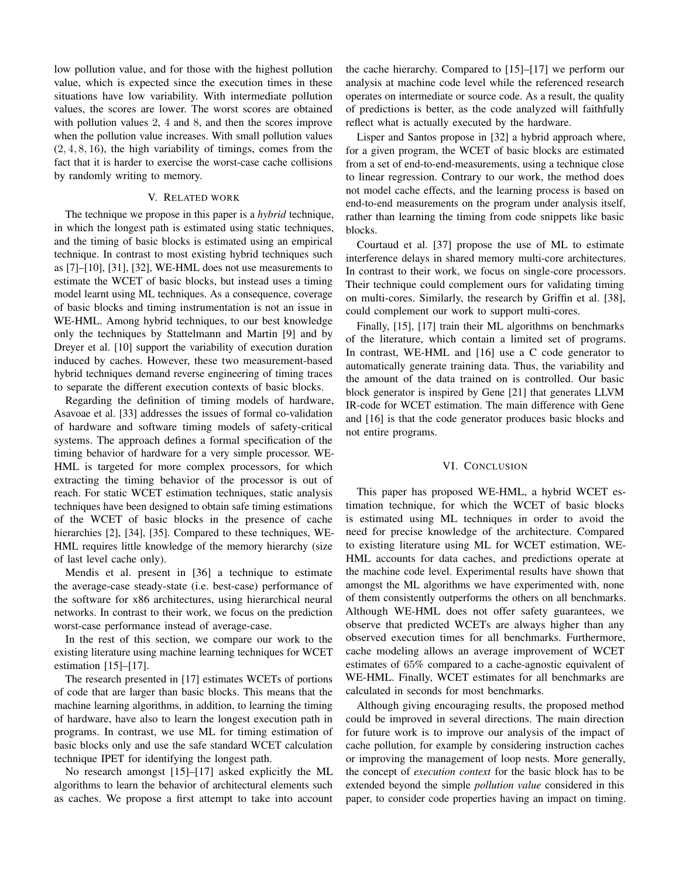low pollution value, and for those with the highest pollution value, which is expected since the execution times in these situations have low variability. With intermediate pollution values, the scores are lower. The worst scores are obtained with pollution values 2, 4 and 8, and then the scores improve when the pollution value increases. With small pollution values  $(2, 4, 8, 16)$ , the high variability of timings, comes from the fact that it is harder to exercise the worst-case cache collisions by randomly writing to memory.

#### V. RELATED WORK

The technique we propose in this paper is a *hybrid* technique, in which the longest path is estimated using static techniques, and the timing of basic blocks is estimated using an empirical technique. In contrast to most existing hybrid techniques such as [7]–[10], [31], [32], WE-HML does not use measurements to estimate the WCET of basic blocks, but instead uses a timing model learnt using ML techniques. As a consequence, coverage of basic blocks and timing instrumentation is not an issue in WE-HML. Among hybrid techniques, to our best knowledge only the techniques by Stattelmann and Martin [9] and by Dreyer et al. [10] support the variability of execution duration induced by caches. However, these two measurement-based hybrid techniques demand reverse engineering of timing traces to separate the different execution contexts of basic blocks.

Regarding the definition of timing models of hardware, Asavoae et al. [33] addresses the issues of formal co-validation of hardware and software timing models of safety-critical systems. The approach defines a formal specification of the timing behavior of hardware for a very simple processor. WE-HML is targeted for more complex processors, for which extracting the timing behavior of the processor is out of reach. For static WCET estimation techniques, static analysis techniques have been designed to obtain safe timing estimations of the WCET of basic blocks in the presence of cache hierarchies [2], [34], [35]. Compared to these techniques, WE-HML requires little knowledge of the memory hierarchy (size of last level cache only).

Mendis et al. present in [36] a technique to estimate the average-case steady-state (i.e. best-case) performance of the software for x86 architectures, using hierarchical neural networks. In contrast to their work, we focus on the prediction worst-case performance instead of average-case.

In the rest of this section, we compare our work to the existing literature using machine learning techniques for WCET estimation  $[15]$ – $[17]$ .

The research presented in [17] estimates WCETs of portions of code that are larger than basic blocks. This means that the machine learning algorithms, in addition, to learning the timing of hardware, have also to learn the longest execution path in programs. In contrast, we use ML for timing estimation of basic blocks only and use the safe standard WCET calculation technique IPET for identifying the longest path.

No research amongst [15]–[17] asked explicitly the ML algorithms to learn the behavior of architectural elements such as caches. We propose a first attempt to take into account the cache hierarchy. Compared to [15]–[17] we perform our analysis at machine code level while the referenced research operates on intermediate or source code. As a result, the quality of predictions is better, as the code analyzed will faithfully reflect what is actually executed by the hardware.

Lisper and Santos propose in [32] a hybrid approach where, for a given program, the WCET of basic blocks are estimated from a set of end-to-end-measurements, using a technique close to linear regression. Contrary to our work, the method does not model cache effects, and the learning process is based on end-to-end measurements on the program under analysis itself, rather than learning the timing from code snippets like basic blocks.

Courtaud et al. [37] propose the use of ML to estimate interference delays in shared memory multi-core architectures. In contrast to their work, we focus on single-core processors. Their technique could complement ours for validating timing on multi-cores. Similarly, the research by Griffin et al. [38], could complement our work to support multi-cores.

Finally, [15], [17] train their ML algorithms on benchmarks of the literature, which contain a limited set of programs. In contrast, WE-HML and [16] use a C code generator to automatically generate training data. Thus, the variability and the amount of the data trained on is controlled. Our basic block generator is inspired by Gene [21] that generates LLVM IR-code for WCET estimation. The main difference with Gene and [16] is that the code generator produces basic blocks and not entire programs.

#### VI. CONCLUSION

This paper has proposed WE-HML, a hybrid WCET estimation technique, for which the WCET of basic blocks is estimated using ML techniques in order to avoid the need for precise knowledge of the architecture. Compared to existing literature using ML for WCET estimation, WE-HML accounts for data caches, and predictions operate at the machine code level. Experimental results have shown that amongst the ML algorithms we have experimented with, none of them consistently outperforms the others on all benchmarks. Although WE-HML does not offer safety guarantees, we observe that predicted WCETs are always higher than any observed execution times for all benchmarks. Furthermore, cache modeling allows an average improvement of WCET estimates of 65% compared to a cache-agnostic equivalent of WE-HML. Finally, WCET estimates for all benchmarks are calculated in seconds for most benchmarks.

Although giving encouraging results, the proposed method could be improved in several directions. The main direction for future work is to improve our analysis of the impact of cache pollution, for example by considering instruction caches or improving the management of loop nests. More generally, the concept of *execution context* for the basic block has to be extended beyond the simple *pollution value* considered in this paper, to consider code properties having an impact on timing.